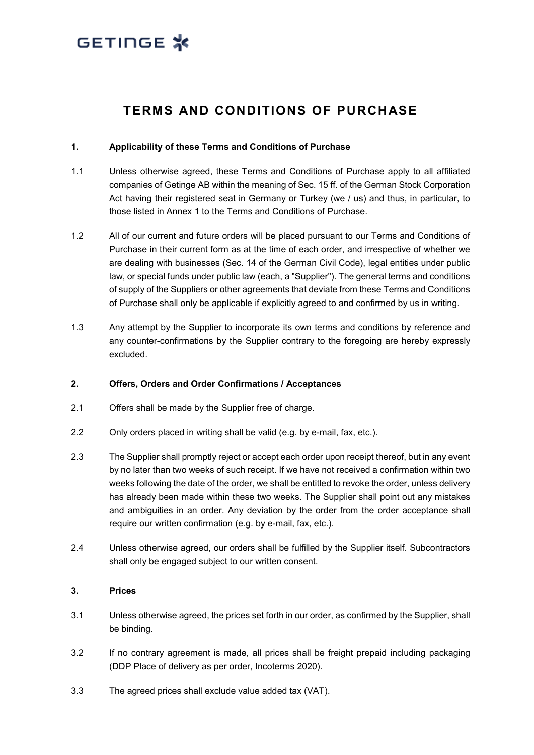### **TERMS AND CONDITIONS OF PURCHASE**

#### **1. Applicability of these Terms and Conditions of Purchase**

- 1.1 Unless otherwise agreed, these Terms and Conditions of Purchase apply to all affiliated companies of Getinge AB within the meaning of Sec. 15 ff. of the German Stock Corporation Act having their registered seat in Germany or Turkey (we / us) and thus, in particular, to those listed in Annex 1 to the Terms and Conditions of Purchase.
- 1.2 All of our current and future orders will be placed pursuant to our Terms and Conditions of Purchase in their current form as at the time of each order, and irrespective of whether we are dealing with businesses (Sec. 14 of the German Civil Code), legal entities under public law, or special funds under public law (each, a "Supplier"). The general terms and conditions of supply of the Suppliers or other agreements that deviate from these Terms and Conditions of Purchase shall only be applicable if explicitly agreed to and confirmed by us in writing.
- 1.3 Any attempt by the Supplier to incorporate its own terms and conditions by reference and any counter-confirmations by the Supplier contrary to the foregoing are hereby expressly excluded.

#### **2. Offers, Orders and Order Confirmations / Acceptances**

- 2.1 Offers shall be made by the Supplier free of charge.
- 2.2 Only orders placed in writing shall be valid (e.g. by e-mail, fax, etc.).
- 2.3 The Supplier shall promptly reject or accept each order upon receipt thereof, but in any event by no later than two weeks of such receipt. If we have not received a confirmation within two weeks following the date of the order, we shall be entitled to revoke the order, unless delivery has already been made within these two weeks. The Supplier shall point out any mistakes and ambiguities in an order. Any deviation by the order from the order acceptance shall require our written confirmation (e.g. by e-mail, fax, etc.).
- 2.4 Unless otherwise agreed, our orders shall be fulfilled by the Supplier itself. Subcontractors shall only be engaged subject to our written consent.

#### **3. Prices**

- 3.1 Unless otherwise agreed, the prices set forth in our order, as confirmed by the Supplier, shall be binding.
- 3.2 If no contrary agreement is made, all prices shall be freight prepaid including packaging (DDP Place of delivery as per order, Incoterms 2020).
- 3.3 The agreed prices shall exclude value added tax (VAT).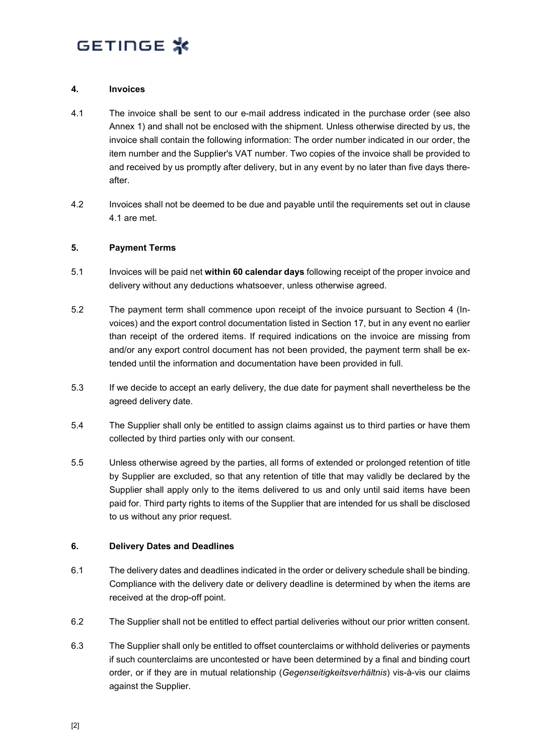#### <span id="page-1-1"></span>**4. Invoices**

- <span id="page-1-0"></span>4.1 The invoice shall be sent to our e-mail address indicated in the purchase order (see also Annex 1) and shall not be enclosed with the shipment. Unless otherwise directed by us, the invoice shall contain the following information: The order number indicated in our order, the item number and the Supplier's VAT number. Two copies of the invoice shall be provided to and received by us promptly after delivery, but in any event by no later than five days thereafter.
- 4.2 Invoices shall not be deemed to be due and payable until the requirements set out in clause [4.1](#page-1-0) are met.

#### **5. Payment Terms**

- 5.1 Invoices will be paid net **within 60 calendar days** following receipt of the proper invoice and delivery without any deductions whatsoever, unless otherwise agreed.
- 5.2 The payment term shall commence upon receipt of the invoice pursuant to Section [4](#page-1-1) (Invoices) and the export control documentation listed in Section [17,](#page-7-0) but in any event no earlier than receipt of the ordered items. If required indications on the invoice are missing from and/or any export control document has not been provided, the payment term shall be extended until the information and documentation have been provided in full.
- 5.3 If we decide to accept an early delivery, the due date for payment shall nevertheless be the agreed delivery date.
- 5.4 The Supplier shall only be entitled to assign claims against us to third parties or have them collected by third parties only with our consent.
- 5.5 Unless otherwise agreed by the parties, all forms of extended or prolonged retention of title by Supplier are excluded, so that any retention of title that may validly be declared by the Supplier shall apply only to the items delivered to us and only until said items have been paid for. Third party rights to items of the Supplier that are intended for us shall be disclosed to us without any prior request.

#### **6. Delivery Dates and Deadlines**

- 6.1 The delivery dates and deadlines indicated in the order or delivery schedule shall be binding. Compliance with the delivery date or delivery deadline is determined by when the items are received at the drop-off point.
- 6.2 The Supplier shall not be entitled to effect partial deliveries without our prior written consent.
- 6.3 The Supplier shall only be entitled to offset counterclaims or withhold deliveries or payments if such counterclaims are uncontested or have been determined by a final and binding court order, or if they are in mutual relationship (*Gegenseitigkeitsverhältnis*) vis-à-vis our claims against the Supplier.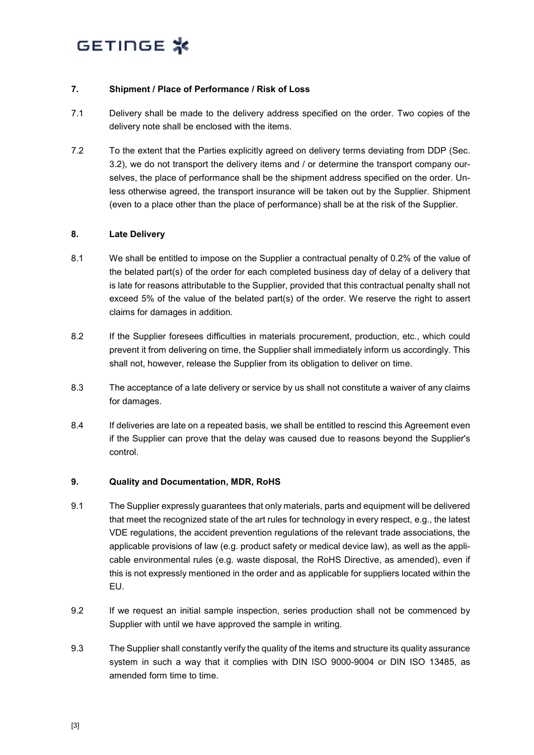#### **7. Shipment / Place of Performance / Risk of Loss**

- 7.1 Delivery shall be made to the delivery address specified on the order. Two copies of the delivery note shall be enclosed with the items.
- 7.2 To the extent that the Parties explicitly agreed on delivery terms deviating from DDP (Sec. 3.2), we do not transport the delivery items and / or determine the transport company ourselves, the place of performance shall be the shipment address specified on the order. Unless otherwise agreed, the transport insurance will be taken out by the Supplier. Shipment (even to a place other than the place of performance) shall be at the risk of the Supplier.

#### **8. Late Delivery**

- 8.1 We shall be entitled to impose on the Supplier a contractual penalty of 0.2% of the value of the belated part(s) of the order for each completed business day of delay of a delivery that is late for reasons attributable to the Supplier, provided that this contractual penalty shall not exceed 5% of the value of the belated part(s) of the order. We reserve the right to assert claims for damages in addition.
- 8.2 If the Supplier foresees difficulties in materials procurement, production, etc., which could prevent it from delivering on time, the Supplier shall immediately inform us accordingly. This shall not, however, release the Supplier from its obligation to deliver on time.
- 8.3 The acceptance of a late delivery or service by us shall not constitute a waiver of any claims for damages.
- 8.4 If deliveries are late on a repeated basis, we shall be entitled to rescind this Agreement even if the Supplier can prove that the delay was caused due to reasons beyond the Supplier's control.

#### **9. Quality and Documentation, MDR, RoHS**

- 9.1 The Supplier expressly guarantees that only materials, parts and equipment will be delivered that meet the recognized state of the art rules for technology in every respect, e.g., the latest VDE regulations, the accident prevention regulations of the relevant trade associations, the applicable provisions of law (e.g. product safety or medical device law), as well as the applicable environmental rules (e.g. waste disposal, the RoHS Directive, as amended), even if this is not expressly mentioned in the order and as applicable for suppliers located within the EU.
- 9.2 If we request an initial sample inspection, series production shall not be commenced by Supplier with until we have approved the sample in writing.
- 9.3 The Supplier shall constantly verify the quality of the items and structure its quality assurance system in such a way that it complies with DIN ISO 9000-9004 or DIN ISO 13485, as amended form time to time.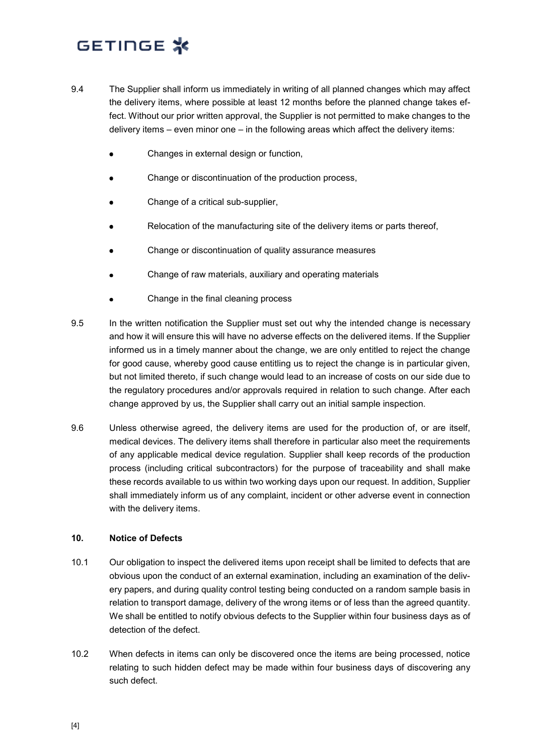- 9.4 The Supplier shall inform us immediately in writing of all planned changes which may affect the delivery items, where possible at least 12 months before the planned change takes effect. Without our prior written approval, the Supplier is not permitted to make changes to the delivery items – even minor one – in the following areas which affect the delivery items:
	- Changes in external design or function,
	- Change or discontinuation of the production process,
	- Change of a critical sub-supplier,
	- Relocation of the manufacturing site of the delivery items or parts thereof,
	- Change or discontinuation of quality assurance measures
	- Change of raw materials, auxiliary and operating materials
	- Change in the final cleaning process
- 9.5 In the written notification the Supplier must set out why the intended change is necessary and how it will ensure this will have no adverse effects on the delivered items. If the Supplier informed us in a timely manner about the change, we are only entitled to reject the change for good cause, whereby good cause entitling us to reject the change is in particular given, but not limited thereto, if such change would lead to an increase of costs on our side due to the regulatory procedures and/or approvals required in relation to such change. After each change approved by us, the Supplier shall carry out an initial sample inspection.
- 9.6 Unless otherwise agreed, the delivery items are used for the production of, or are itself, medical devices. The delivery items shall therefore in particular also meet the requirements of any applicable medical device regulation. Supplier shall keep records of the production process (including critical subcontractors) for the purpose of traceability and shall make these records available to us within two working days upon our request. In addition, Supplier shall immediately inform us of any complaint, incident or other adverse event in connection with the delivery items.

#### **10. Notice of Defects**

- 10.1 Our obligation to inspect the delivered items upon receipt shall be limited to defects that are obvious upon the conduct of an external examination, including an examination of the delivery papers, and during quality control testing being conducted on a random sample basis in relation to transport damage, delivery of the wrong items or of less than the agreed quantity. We shall be entitled to notify obvious defects to the Supplier within four business days as of detection of the defect.
- 10.2 When defects in items can only be discovered once the items are being processed, notice relating to such hidden defect may be made within four business days of discovering any such defect.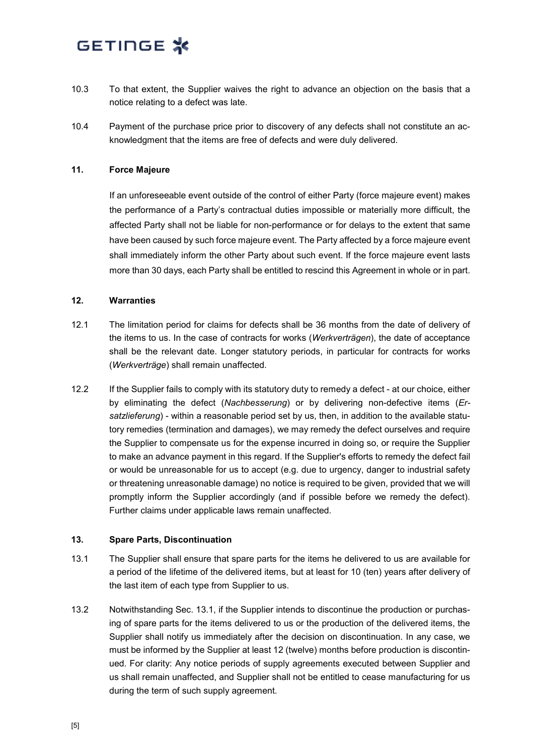- 10.3 To that extent, the Supplier waives the right to advance an objection on the basis that a notice relating to a defect was late.
- 10.4 Payment of the purchase price prior to discovery of any defects shall not constitute an acknowledgment that the items are free of defects and were duly delivered.

#### **11. Force Majeure**

If an unforeseeable event outside of the control of either Party (force majeure event) makes the performance of a Party's contractual duties impossible or materially more difficult, the affected Party shall not be liable for non-performance or for delays to the extent that same have been caused by such force majeure event. The Party affected by a force majeure event shall immediately inform the other Party about such event. If the force majeure event lasts more than 30 days, each Party shall be entitled to rescind this Agreement in whole or in part.

#### **12. Warranties**

- 12.1 The limitation period for claims for defects shall be 36 months from the date of delivery of the items to us. In the case of contracts for works (*Werkverträgen*), the date of acceptance shall be the relevant date. Longer statutory periods, in particular for contracts for works (*Werkverträge*) shall remain unaffected.
- 12.2 If the Supplier fails to comply with its statutory duty to remedy a defect at our choice, either by eliminating the defect (*Nachbesserung*) or by delivering non-defective items (*Ersatzlieferung*) - within a reasonable period set by us, then, in addition to the available statutory remedies (termination and damages), we may remedy the defect ourselves and require the Supplier to compensate us for the expense incurred in doing so, or require the Supplier to make an advance payment in this regard. If the Supplier's efforts to remedy the defect fail or would be unreasonable for us to accept (e.g. due to urgency, danger to industrial safety or threatening unreasonable damage) no notice is required to be given, provided that we will promptly inform the Supplier accordingly (and if possible before we remedy the defect). Further claims under applicable laws remain unaffected.

#### **13. Spare Parts, Discontinuation**

- 13.1 The Supplier shall ensure that spare parts for the items he delivered to us are available for a period of the lifetime of the delivered items, but at least for 10 (ten) years after delivery of the last item of each type from Supplier to us.
- 13.2 Notwithstanding Sec. 13.1, if the Supplier intends to discontinue the production or purchasing of spare parts for the items delivered to us or the production of the delivered items, the Supplier shall notify us immediately after the decision on discontinuation. In any case, we must be informed by the Supplier at least 12 (twelve) months before production is discontinued. For clarity: Any notice periods of supply agreements executed between Supplier and us shall remain unaffected, and Supplier shall not be entitled to cease manufacturing for us during the term of such supply agreement.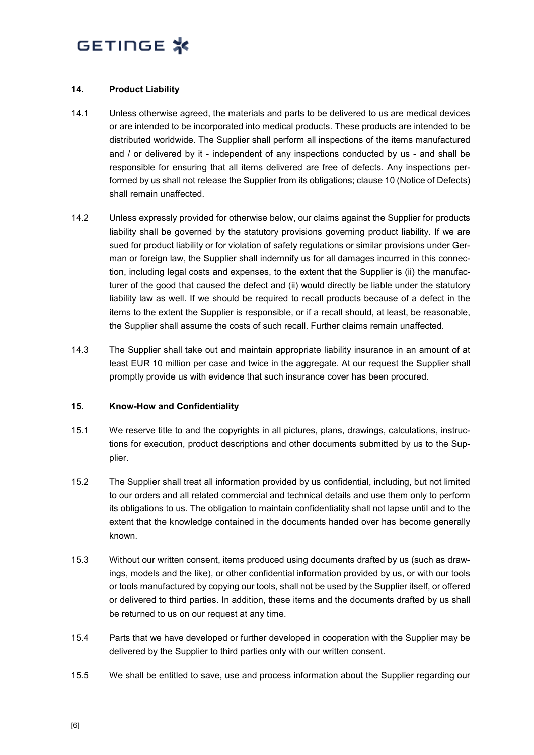#### **14. Product Liability**

- 14.1 Unless otherwise agreed, the materials and parts to be delivered to us are medical devices or are intended to be incorporated into medical products. These products are intended to be distributed worldwide. The Supplier shall perform all inspections of the items manufactured and / or delivered by it - independent of any inspections conducted by us - and shall be responsible for ensuring that all items delivered are free of defects. Any inspections performed by us shall not release the Supplier from its obligations; clause 10 (Notice of Defects) shall remain unaffected.
- 14.2 Unless expressly provided for otherwise below, our claims against the Supplier for products liability shall be governed by the statutory provisions governing product liability. If we are sued for product liability or for violation of safety regulations or similar provisions under German or foreign law, the Supplier shall indemnify us for all damages incurred in this connection, including legal costs and expenses, to the extent that the Supplier is (ii) the manufacturer of the good that caused the defect and (ii) would directly be liable under the statutory liability law as well. If we should be required to recall products because of a defect in the items to the extent the Supplier is responsible, or if a recall should, at least, be reasonable, the Supplier shall assume the costs of such recall. Further claims remain unaffected.
- 14.3 The Supplier shall take out and maintain appropriate liability insurance in an amount of at least EUR 10 million per case and twice in the aggregate. At our request the Supplier shall promptly provide us with evidence that such insurance cover has been procured.

#### **15. Know-How and Confidentiality**

- 15.1 We reserve title to and the copyrights in all pictures, plans, drawings, calculations, instructions for execution, product descriptions and other documents submitted by us to the Supplier.
- 15.2 The Supplier shall treat all information provided by us confidential, including, but not limited to our orders and all related commercial and technical details and use them only to perform its obligations to us. The obligation to maintain confidentiality shall not lapse until and to the extent that the knowledge contained in the documents handed over has become generally known.
- 15.3 Without our written consent, items produced using documents drafted by us (such as drawings, models and the like), or other confidential information provided by us, or with our tools or tools manufactured by copying our tools, shall not be used by the Supplier itself, or offered or delivered to third parties. In addition, these items and the documents drafted by us shall be returned to us on our request at any time.
- 15.4 Parts that we have developed or further developed in cooperation with the Supplier may be delivered by the Supplier to third parties only with our written consent.
- 15.5 We shall be entitled to save, use and process information about the Supplier regarding our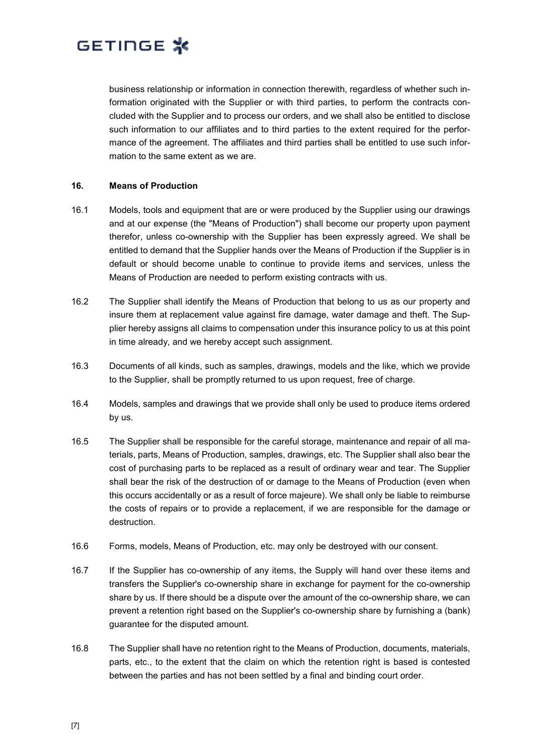business relationship or information in connection therewith, regardless of whether such information originated with the Supplier or with third parties, to perform the contracts concluded with the Supplier and to process our orders, and we shall also be entitled to disclose such information to our affiliates and to third parties to the extent required for the performance of the agreement. The affiliates and third parties shall be entitled to use such information to the same extent as we are.

#### **16. Means of Production**

- 16.1 Models, tools and equipment that are or were produced by the Supplier using our drawings and at our expense (the "Means of Production") shall become our property upon payment therefor, unless co-ownership with the Supplier has been expressly agreed. We shall be entitled to demand that the Supplier hands over the Means of Production if the Supplier is in default or should become unable to continue to provide items and services, unless the Means of Production are needed to perform existing contracts with us.
- 16.2 The Supplier shall identify the Means of Production that belong to us as our property and insure them at replacement value against fire damage, water damage and theft. The Supplier hereby assigns all claims to compensation under this insurance policy to us at this point in time already, and we hereby accept such assignment.
- 16.3 Documents of all kinds, such as samples, drawings, models and the like, which we provide to the Supplier, shall be promptly returned to us upon request, free of charge.
- 16.4 Models, samples and drawings that we provide shall only be used to produce items ordered by us.
- 16.5 The Supplier shall be responsible for the careful storage, maintenance and repair of all materials, parts, Means of Production, samples, drawings, etc. The Supplier shall also bear the cost of purchasing parts to be replaced as a result of ordinary wear and tear. The Supplier shall bear the risk of the destruction of or damage to the Means of Production (even when this occurs accidentally or as a result of force majeure). We shall only be liable to reimburse the costs of repairs or to provide a replacement, if we are responsible for the damage or destruction.
- 16.6 Forms, models, Means of Production, etc. may only be destroyed with our consent.
- 16.7 If the Supplier has co-ownership of any items, the Supply will hand over these items and transfers the Supplier's co-ownership share in exchange for payment for the co-ownership share by us. If there should be a dispute over the amount of the co-ownership share, we can prevent a retention right based on the Supplier's co-ownership share by furnishing a (bank) guarantee for the disputed amount.
- 16.8 The Supplier shall have no retention right to the Means of Production, documents, materials, parts, etc., to the extent that the claim on which the retention right is based is contested between the parties and has not been settled by a final and binding court order.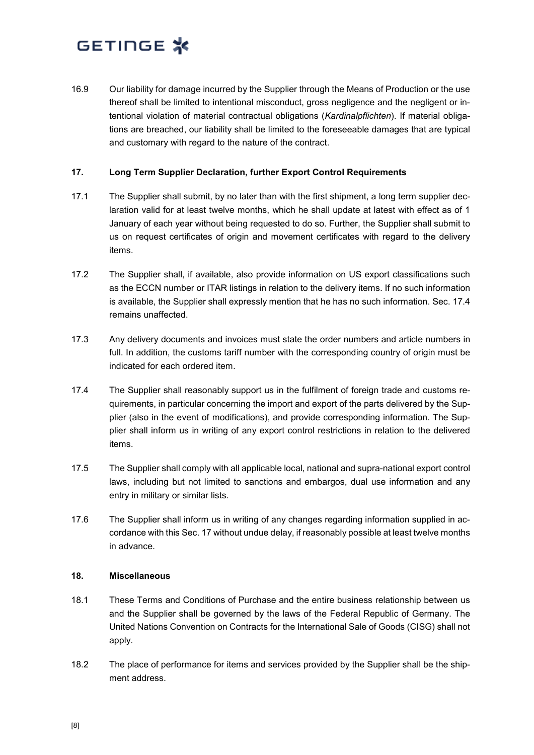16.9 Our liability for damage incurred by the Supplier through the Means of Production or the use thereof shall be limited to intentional misconduct, gross negligence and the negligent or intentional violation of material contractual obligations (*Kardinalpflichten*). If material obligations are breached, our liability shall be limited to the foreseeable damages that are typical and customary with regard to the nature of the contract.

#### <span id="page-7-0"></span>**17. Long Term Supplier Declaration, further Export Control Requirements**

- 17.1 The Supplier shall submit, by no later than with the first shipment, a long term supplier declaration valid for at least twelve months, which he shall update at latest with effect as of 1 January of each year without being requested to do so. Further, the Supplier shall submit to us on request certificates of origin and movement certificates with regard to the delivery items.
- 17.2 The Supplier shall, if available, also provide information on US export classifications such as the ECCN number or ITAR listings in relation to the delivery items. If no such information is available, the Supplier shall expressly mention that he has no such information. Sec. 17.4 remains unaffected.
- 17.3 Any delivery documents and invoices must state the order numbers and article numbers in full. In addition, the customs tariff number with the corresponding country of origin must be indicated for each ordered item.
- 17.4 The Supplier shall reasonably support us in the fulfilment of foreign trade and customs requirements, in particular concerning the import and export of the parts delivered by the Supplier (also in the event of modifications), and provide corresponding information. The Supplier shall inform us in writing of any export control restrictions in relation to the delivered items.
- 17.5 The Supplier shall comply with all applicable local, national and supra-national export control laws, including but not limited to sanctions and embargos, dual use information and any entry in military or similar lists.
- 17.6 The Supplier shall inform us in writing of any changes regarding information supplied in accordance with this Sec. 17 without undue delay, if reasonably possible at least twelve months in advance.

#### **18. Miscellaneous**

- 18.1 These Terms and Conditions of Purchase and the entire business relationship between us and the Supplier shall be governed by the laws of the Federal Republic of Germany. The United Nations Convention on Contracts for the International Sale of Goods (CISG) shall not apply.
- 18.2 The place of performance for items and services provided by the Supplier shall be the shipment address.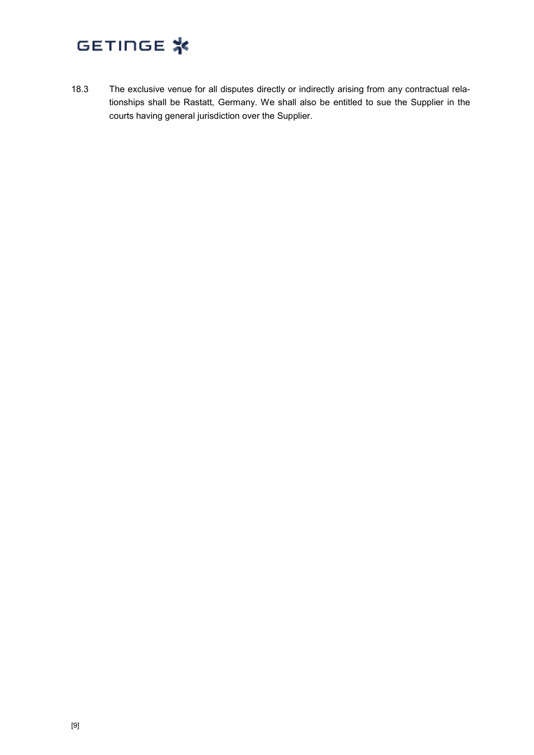18.3 The exclusive venue for all disputes directly or indirectly arising from any contractual relationships shall be Rastatt, Germany. We shall also be entitled to sue the Supplier in the courts having general jurisdiction over the Supplier.